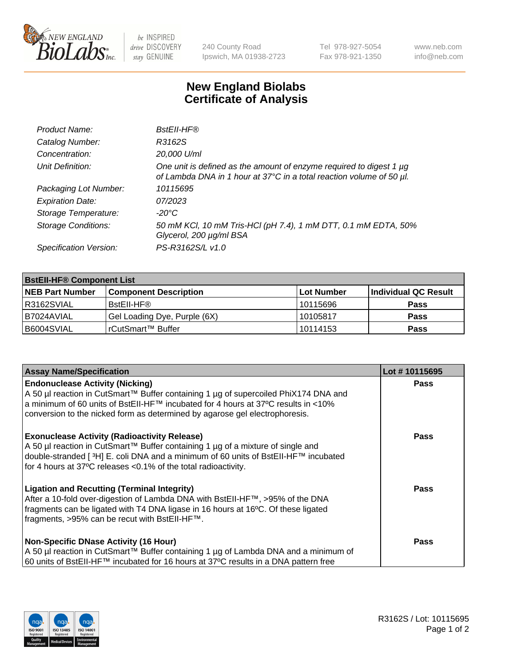

 $be$  INSPIRED drive DISCOVERY stay GENUINE

240 County Road Ipswich, MA 01938-2723 Tel 978-927-5054 Fax 978-921-1350 www.neb.com info@neb.com

## **New England Biolabs Certificate of Analysis**

| Product Name:              | BstEll-HF®                                                                                                                                       |
|----------------------------|--------------------------------------------------------------------------------------------------------------------------------------------------|
| Catalog Number:            | R3162S                                                                                                                                           |
| Concentration:             | 20,000 U/ml                                                                                                                                      |
| Unit Definition:           | One unit is defined as the amount of enzyme required to digest 1 $\mu$ g<br>of Lambda DNA in 1 hour at 37°C in a total reaction volume of 50 µl. |
| Packaging Lot Number:      | 10115695                                                                                                                                         |
| <b>Expiration Date:</b>    | 07/2023                                                                                                                                          |
| Storage Temperature:       | -20°C                                                                                                                                            |
| <b>Storage Conditions:</b> | 50 mM KCl, 10 mM Tris-HCl (pH 7.4), 1 mM DTT, 0.1 mM EDTA, 50%<br>Glycerol, 200 µg/ml BSA                                                        |
| Specification Version:     | PS-R3162S/L v1.0                                                                                                                                 |

| <b>BstEll-HF® Component List</b> |                              |            |                      |  |  |
|----------------------------------|------------------------------|------------|----------------------|--|--|
| <b>NEB Part Number</b>           | <b>Component Description</b> | Lot Number | Individual QC Result |  |  |
| R3162SVIAL                       | BstEll-HF®                   | 10115696   | <b>Pass</b>          |  |  |
| I B7024AVIAL                     | Gel Loading Dye, Purple (6X) | 10105817   | <b>Pass</b>          |  |  |
| B6004SVIAL                       | l rCutSmart™ Buffer          | 10114153   | <b>Pass</b>          |  |  |

| <b>Assay Name/Specification</b>                                                                                                                                                                                                                                                                             | Lot #10115695 |
|-------------------------------------------------------------------------------------------------------------------------------------------------------------------------------------------------------------------------------------------------------------------------------------------------------------|---------------|
| <b>Endonuclease Activity (Nicking)</b><br>  A 50 µl reaction in CutSmart™ Buffer containing 1 µg of supercoiled PhiX174 DNA and                                                                                                                                                                             | <b>Pass</b>   |
| a minimum of 60 units of BstEII-HF™ incubated for 4 hours at 37°C results in <10%<br>conversion to the nicked form as determined by agarose gel electrophoresis.                                                                                                                                            |               |
| <b>Exonuclease Activity (Radioactivity Release)</b><br>A 50 µl reaction in CutSmart™ Buffer containing 1 µg of a mixture of single and<br>double-stranded [ <sup>3</sup> H] E. coli DNA and a minimum of 60 units of BstEII-HF™ incubated<br>for 4 hours at 37°C releases <0.1% of the total radioactivity. | <b>Pass</b>   |
| <b>Ligation and Recutting (Terminal Integrity)</b><br>  After a 10-fold over-digestion of Lambda DNA with BstEII-HF™, >95% of the DNA<br>fragments can be ligated with T4 DNA ligase in 16 hours at 16°C. Of these ligated<br>fragments, >95% can be recut with BstEII-HF™.                                 | Pass          |
| <b>Non-Specific DNase Activity (16 Hour)</b><br>A 50 µl reaction in CutSmart™ Buffer containing 1 µg of Lambda DNA and a minimum of<br>60 units of BstEII-HF™ incubated for 16 hours at 37°C results in a DNA pattern free                                                                                  | <b>Pass</b>   |